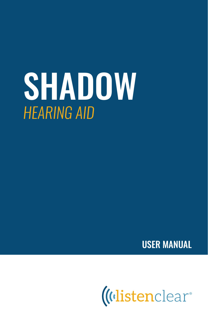# SHADOW *HEARING AID*

USER MANUAL

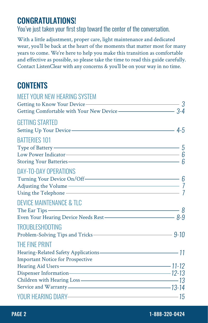# CONGRATULATIONS!

*You've just taken your first step toward the center of the conversation.*

With a little adjustment, proper care, light maintenance and dedicated wear, you'll be back at the heart of the moments that matter most for many years to come. We're here to help you make this transition as comfortable and effective as possible, so please take the time to read this guide carefully. Contact ListenClear with any concerns & you'll be on your way in no time.

# **CONTENTS**

| <b>MEET YOUR NEW HEARING SYSTEM</b>                               |  |
|-------------------------------------------------------------------|--|
| Getting to Know Your Device ———————————————————— 3                |  |
| Getting Comfortable with Your New Device ———————————————————— 3-4 |  |
| <b>GETTING STARTED</b>                                            |  |
|                                                                   |  |
| <b>BATTERIES 101</b>                                              |  |
|                                                                   |  |
| Low Power Indicator $\overline{\phantom{a}}$ 6                    |  |
|                                                                   |  |
| <b>DAY-TO-DAY OPERATIONS</b>                                      |  |
| Turning Your Device On/Off 6                                      |  |
|                                                                   |  |
| Using the Telephone — $\overline{7}$                              |  |
| <b>DEVICE MAINTENANCE &amp; TLC</b>                               |  |
| The Ear Tips $\qquad \qquad \overbrace{\qquad \qquad }$           |  |
| Even Your Hearing Device Needs Rest - 8-9                         |  |
| <b>TROUBLESHOOTING</b>                                            |  |
| Problem-Solving Tips and Tricks - 9-10                            |  |
| THE FINE PRINT                                                    |  |
| Hearing-Related Safety Applications-<br>11                        |  |
| <b>Important Notice for Prospective</b>                           |  |
| Hearing Aid Users - The Manual Community of the 11-12             |  |
| Dispenser Information-<br>2-13                                    |  |
| Children with Hearing Loss - 23                                   |  |
|                                                                   |  |
|                                                                   |  |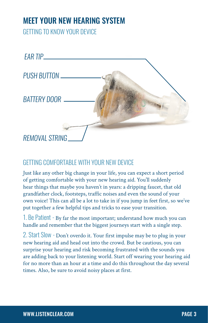# MEET YOUR NEW HEARING SYSTEM

*GETTING TO KNOW YOUR DEVICE*



#### *GETTING COMFORTABLE WITH YOUR NEW DEVICE*

Just like any other big change in your life, you can expect a short period of getting comfortable with your new hearing aid. You'll suddenly hear things that maybe you haven't in years: a dripping faucet, that old grandfather clock, footsteps, traffic noises and even the sound of your own voice! This can all be a lot to take in if you jump in feet first, so we've put together a few helpful tips and tricks to ease your transition.

*1. Be Patient -* By far the most important; understand how much you can handle and remember that the biggest journeys start with a single step.

*2. Start Slow -* Don't overdo it. Your first impulse may be to plug in your new hearing aid and head out into the crowd. But be cautious, you can surprise your hearing and risk becoming frustrated with the sounds you are adding back to your listening world. Start off wearing your hearing aid for no more than an hour at a time and do this throughout the day several times. Also, be sure to avoid noisy places at first.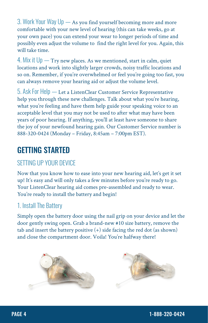*3. Work Your Way Up —* As you find yourself becoming more and more comfortable with your new level of hearing (this can take weeks, go at your own pace) you can extend your wear to longer periods of time and possibly even adjust the volume to find the right level for you. Again, this will take time.

*4. Mix it Up —* Try new places. As we mentioned, start in calm, quiet locations and work into slightly larger crowds, noisy traffic locations and so on. Remember, if you're overwhelmed or feel you're going too fast, you can always remove your hearing aid or adjust the volume level.

*5. Ask For Help —* Let a ListenClear Customer Service Representative help you through these new challenges. Talk about what you're hearing, what you're feeling and have them help guide your speaking voice to an acceptable level that you may not be used to after what may have been years of poor hearing. If anything, you'll at least have someone to share the joy of your newfound hearing gain. Our Customer Service number is 888-320-0424 (Monday – Friday, 8:45am – 7:00pm EST).

# GETTING STARTED

## *SETTING UP YOUR DEVICE*

Now that you know how to ease into your new hearing aid, let's get it set up! It's easy and will only takes a few minutes before you're ready to go. Your ListenClear hearing aid comes pre-assembled and ready to wear. You're ready to install the battery and begin!

#### *1. Install The Battery*

Simply open the battery door using the nail grip on your device and let the door gently swing open. Grab a brand-new #10 size battery, remove the tab and insert the battery positive  $(+)$  side facing the red dot (as shown) and close the compartment door. Voila! You're halfway there!

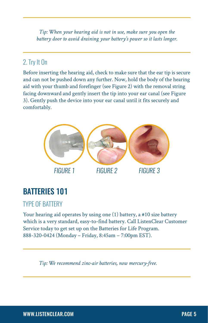*Tip: When your hearing aid is not in use, make sure you open the battery door to avoid draining your battery's power so it lasts longer.* 

## *2. Try It On*

Before inserting the hearing aid, check to make sure that the ear tip is secure and can not be pushed down any further. Now, hold the body of the hearing aid with your thumb and forefinger (see Figure 2) with the removal string facing downward and gently insert the tip into your ear canal (see Figure 3). Gently push the device into your ear canal until it fits securely and comfortably.



# BATTERIES 101

#### *TYPE OF BATTERY*

Your hearing aid operates by using one (1) battery, a #10 size battery which is a very standard, easy-to-find battery. Call ListenClear Customer Service today to get set up on the Batteries for Life Program. 888-320-0424 (Monday – Friday, 8:45am – 7:00pm EST).

*Tip: We recommend zinc-air batteries, now mercury-free.*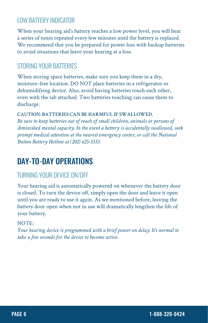#### *LOW BATTERY INDICATOR*

When your hearing aid's battery reaches a low power level, you will hear a series of tones repeated every few minutes until the battery is replaced. We recommend that you be prepared for power loss with backup batteries to avoid situations that leave your hearing at a loss.

#### *STORING YOUR BATTERIES*

When storing spare batteries, make sure you keep them in a dry, moisture-free location. DO NOT place batteries in a refrigerator or dehumidifying device. Also, avoid having batteries touch each other, even with the tab attached. Two batteries touching can cause them to discharge.

#### **CAUTION: BATTERIES CAN BE HARMFUL IF SWALLOWED.**

*Be sure to keep batteries out of reach of small children, animals or persons of diminished mental capacity. In the event a battery is accidentally swallowed, seek prompt medical attention at the nearest emergency center, or call the National Button Battery Hotline at (202) 625-3333.*

# DAY-TO-DAY OPERATIONS

#### *TURNING YOUR DEVICE ON/OFF*

Your hearing aid is automatically powered on whenever the battery door is closed. To turn the device off, simply open the door and leave it open until you are ready to use it again. As we mentioned before, leaving the battery door open when not in use will dramatically lengthen the life of your battery.

#### NOTE:

*Your hearing device is programmed with a brief power-on delay. It's normal to take a few seconds for the device to become active.*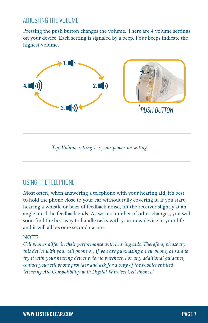#### *ADJUSTING THE VOLUME*

Pressing the push button changes the volume. There are 4 volume settings on your device. Each setting is signaled by a beep. Four beeps indicate the highest volume.



*Tip: Volume setting 1 is your power-on setting.*

#### *USING THE TELEPHONE*

Most often, when answering a telephone with your hearing aid, it's best to hold the phone close to your ear without fully covering it. If you start hearing a whistle or buzz of feedback noise, tilt the receiver slightly at an angle until the feedback ends. As with a number of other changes, you will soon find the best way to handle tasks with your new device in your life and it will all become second nature.

#### NOTE:

*Cell phones differ in their performance with hearing aids. Therefore, please try this device with your cell phone or, if you are purchasing a new phone, be sure to try it with your hearing device prior to purchase. For any additional guidance, contact your cell phone provider and ask for a copy of the booklet entitled "Hearing Aid Compatibility with Digital Wireless Cell Phones."*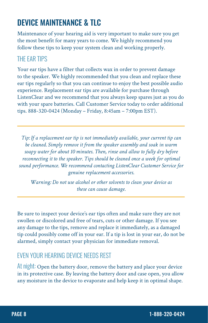# DEVICE MAINTENANCE & TLC

Maintenance of your hearing aid is very important to make sure you get the most benefit for many years to come. We highly recommend you follow these tips to keep your system clean and working properly.

#### *THE EAR TIPS*

Your ear tips have a filter that collects wax in order to prevent damage to the speaker. We highly recommended that you clean and replace these ear tips regularly so that you can continue to enjoy the best possible audio experience. Replacement ear tips are available for purchase through ListenClear and we recommend that you always keep spares just as you do with your spare batteries. Call Customer Service today to order additional tips. 888-320-0424 (Monday – Friday, 8:45am – 7:00pm EST).

*Tip: If a replacement ear tip is not immediately available, your current tip can be cleaned. Simply remove it from the speaker assembly and soak in warm soapy water for about 10 minutes. Then, rinse and allow to fully dry before reconnecting it to the speaker. Tips should be cleaned once a week for optimal sound performance. We recommend contacting ListenClear Customer Service for genuine replacement accessories.* 

*Warning: Do not use alcohol or other solvents to clean your device as these can cause damage.* 

Be sure to inspect your device's ear tips often and make sure they are not swollen or discolored and free of tears, cuts or other damage. If you see any damage to the tips, remove and replace it immediately, as a damaged tip could possibly come off in your ear. If a tip is lost in your ear, do not be alarmed, simply contact your physician for immediate removal.

#### *EVEN YOUR HEARING DEVICE NEEDS REST*

*At night:* Open the battery door, remove the battery and place your device in its protective case. By leaving the battery door and case open, you allow any moisture in the device to evaporate and help keep it in optimal shape.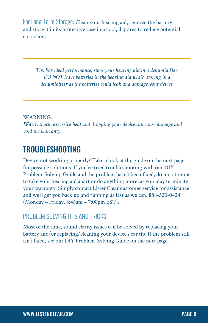*For Long-Term Storage:* Clean your hearing aid, remove the battery and store it in its protective case in a cool, dry area to reduce potential corrosion.

*Tip: For ideal performance, store your hearing aid in a dehumidifier. DO NOT leave batteries in the hearing aid while storing in a dehumidifier as the batteries could leak and damage your device.* 

WARNING:

*Water, shock, excessive heat and dropping your device can cause damage and void the warranty.*

## TROUBLESHOOTING

Device not working properly? Take a look at the guide on the next page for possible solutions. If you've tried troubleshooting with our DIY Problem-Solving Guide and the problem hasn't been fixed, do not attempt to take your hearing aid apart or do anything more, as you may terminate your warranty. Simply contact ListenClear customer service for assistance and we'll get you back up and running as fast as we can. 888-320-0424 (Monday – Friday, 8:45am – 7:00pm EST).

#### *PROBLEM SOLVING TIPS AND TRICKS*

Most of the time, sound clarity issues can be solved by replacing your battery and/or replacing/cleaning your device's ear tip. If the problem still isn't fixed, see our DIY Problem-Solving Guide on the next page.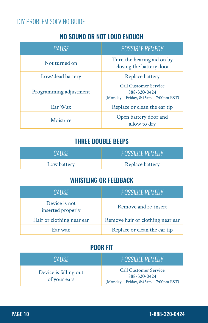#### *DIY PROBLEM SOLVING GUIDE*

#### NO SOUND OR NOT LOUD ENOUGH

| CAUSE                  | <b>POSSIBLE REMEDY</b>                                                                 |
|------------------------|----------------------------------------------------------------------------------------|
| Not turned on          | Turn the hearing aid on by<br>closing the battery door                                 |
| Low/dead battery       | Replace battery                                                                        |
| Programming adjustment | <b>Call Customer Service</b><br>888-320-0424<br>(Monday - Friday, 8:45am - 7:00pm EST) |
| Ear Wax                | Replace or clean the ear tip                                                           |
| Moisture               | Open battery door and<br>allow to dry                                                  |

### THREE DOUBLE BEEPS

| ICALISE I   | POSSIBLE REMEDY. |
|-------------|------------------|
| Low battery | Replace battery  |

#### WHISTLING OR FEEDBACK

| CAUSE                              | <b>POSSIBLE REMEDY</b>           |
|------------------------------------|----------------------------------|
| Device is not<br>inserted properly | Remove and re-insert             |
| Hair or clothing near ear          | Remove hair or clothing near ear |
| Ear wax                            | Replace or clean the ear tip     |

#### POOR FIT

| CALISE.                               | <b>POSSIBLE REMEDY</b>                                                                 |
|---------------------------------------|----------------------------------------------------------------------------------------|
| Device is falling out<br>of your ears | <b>Call Customer Service</b><br>888-320-0424<br>(Monday - Friday, 8:45am - 7:00pm EST) |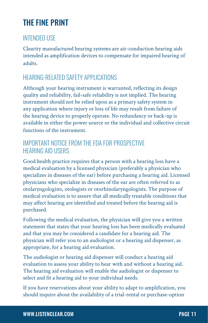# THE FINE PRINT

#### *INTENDED USE*

Clearity manufactured hearing systems are air-conduction hearing aids intended as amplification devices to compensate for impaired hearing of adults.

### *HEARING-RELATED SAFETY APPLICATIONS*

Although your hearing instrument is warranted, reflecting its design quality and reliability, fail-safe reliability is not implied. The hearing instrument should not be relied upon as a primary safety system in any application where injury or loss of life may result from failure of the hearing device to properly operate. No redundancy or back-up is available in either the power source or the individual and collective circuit functions of the instrument.

#### *IMPORTANT NOTICE FROM THE FDA FOR PROSPECTIVE HEARING AID USERS*

Good health practice requires that a person with a hearing loss have a medical evaluation by a licensed physician (preferably a physician who specializes in diseases of the ear) before purchasing a hearing aid. Licensed physicians who specialize in diseases of the ear are often referred to as otolaryngologists, otologists or otorhinolaryngologists. The purpose of medical evaluation is to assure that all medically treatable conditions that may affect hearing are identified and treated before the hearing aid is purchased.

Following the medical evaluation, the physician will give you a written statement that states that your hearing loss has been medically evaluated and that you may be considered a candidate for a hearing aid. The physician will refer you to an audiologist or a hearing aid dispenser, as appropriate, for a hearing aid evaluation.

The audiologist or hearing aid dispenser will conduct a hearing aid evaluation to assess your ability to hear with and without a hearing aid. The hearing aid evaluation will enable the audiologist or dispenser to select and fit a hearing aid to your individual needs.

If you have reservations about your ability to adapt to amplification, you should inquire about the availability of a trial-rental or purchase-option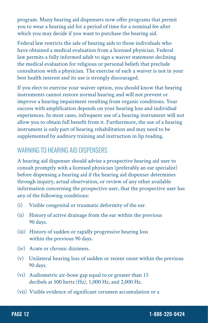program. Many hearing aid dispensers now offer programs that permit you to wear a hearing aid for a period of time for a nominal fee after which you may decide if you want to purchase the hearing aid.

Federal law restricts the sale of hearing aids to those individuals who have obtained a medical evaluation from a licensed physician. Federal law permits a fully informed adult to sign a waiver statement declining the medical evaluation for religious or personal beliefs that preclude consultation with a physician. The exercise of such a waiver is not in your best health interest and its use is strongly discouraged.

If you elect to exercise your waiver option, you should know that hearing instruments cannot restore normal hearing and will not prevent or improve a hearing impairment resulting from organic conditions. Your success with amplification depends on your hearing loss and individual experiences. In most cases, infrequent use of a hearing instrument will not allow you to obtain full benefit from it. Furthermore, the use of a hearing instrument is only part of hearing rehabilitation and may need to be supplemented by auditory training and instruction in lip reading.

#### *WARNING TO HEARING AID DISPENSERS*

A hearing aid dispenser should advise a prospective hearing aid user to consult promptly with a licensed physician (preferably an ear specialist) before dispensing a hearing aid if the hearing aid dispenser determines through inquiry, actual observation, or review of any other available information concerning the prospective user, that the prospective user has any of the following conditions:

- (i) Visible congenital or traumatic deformity of the ear.
- (ii) History of active drainage from the ear within the previous 90 days.
- (iii) History of sudden or rapidly progressive hearing loss within the previous 90 days.
- (iv) Acute or chronic dizziness.
- (v) Unilateral hearing loss of sudden or recent onset within the previous 90 days.
- (vi) Audiometric air-bone gap equal to or greater than 15 decibels at 500 hertz (Hz), 1,000 Hz, and 2,000 Hz.
- (vii) Visible evidence of significant cerumen accumulation or a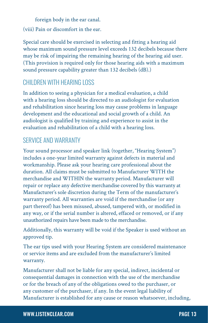foreign body in the ear canal.

(viii) Pain or discomfort in the ear.

Special care should be exercised in selecting and fitting a hearing aid whose maximum sound pressure level exceeds 132 decibels because there may be risk of impairing the remaining hearing of the hearing aid user. (This provision is required only for those hearing aids with a maximum sound pressure capability greater than 132 decibels (dB).)

#### *CHILDREN WITH HEARING LOSS*

In addition to seeing a physician for a medical evaluation, a child with a hearing loss should be directed to an audiologist for evaluation and rehabilitation since hearing loss may cause problems in language development and the educational and social growth of a child. An audiologist is qualified by training and experience to assist in the evaluation and rehabilitation of a child with a hearing loss.

#### *SERVICE AND WARRANTY*

Your sound processor and speaker link (together, "Hearing System") includes a one-year limited warranty against defects in material and workmanship. Please ask your hearing care professional about the duration. All claims must be submitted to Manufacturer WITH the merchandise and WITHIN the warranty period. Manufacturer will repair or replace any defective merchandise covered by this warranty at Manufacturer's sole discretion during the Term of the manufacturer's warranty period. All warranties are void if the merchandise (or any part thereof) has been misused, abused, tampered with, or modified in any way, or if the serial number is altered, effaced or removed, or if any unauthorized repairs have been made to the merchandise.

Additionally, this warranty will be void if the Speaker is used without an approved tip.

The ear tips used with your Hearing System are considered maintenance or service items and are excluded from the manufacturer's limited warranty.

Manufacturer shall not be liable for any special, indirect, incidental or consequential damages in connection with the use of the merchandise or for the breach of any of the obligations owed to the purchaser, or any customer of the purchaser, if any. In the event legal liability of Manufacturer is established for any cause or reason whatsoever, including,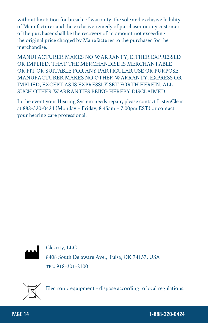without limitation for breach of warranty, the sole and exclusive liability of Manufacturer and the exclusive remedy of purchaser or any customer of the purchaser shall be the recovery of an amount not exceeding the original price charged by Manufacturer to the purchaser for the merchandise.

MANUFACTURER MAKES NO WARRANTY, EITHER EXPRESSED OR IMPLIED, THAT THE MERCHANDISE IS MERCHANTABLE OR FIT OR SUITABLE FOR ANY PARTICULAR USE OR PURPOSE. MANUFACTURER MAKES NO OTHER WARRANTY, EXPRESS OR IMPLIED, EXCEPT AS IS EXPRESSLY SET FORTH HEREIN, ALL SUCH OTHER WARRANTIES BEING HEREBY DISCLAIMED.

In the event your Hearing System needs repair, please contact ListenClear at 888-320-0424 (Monday – Friday, 8:45am – 7:00pm EST) or contact your hearing care professional.



Clearity, LLC 8408 South Delaware Ave., Tulsa, OK 74137, USA TEL: 918-301-2100



Electronic equipment - dispose according to local regulations.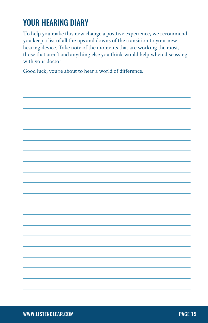# YOUR HEARING DIARY

To help you make this new change a positive experience, we recommend you keep a list of all the ups and downs of the transition to your new hearing device. Take note of the moments that are working the most, those that aren't and anything else you think would help when discussing with your doctor.

Good luck, you're about to hear a world of difference.